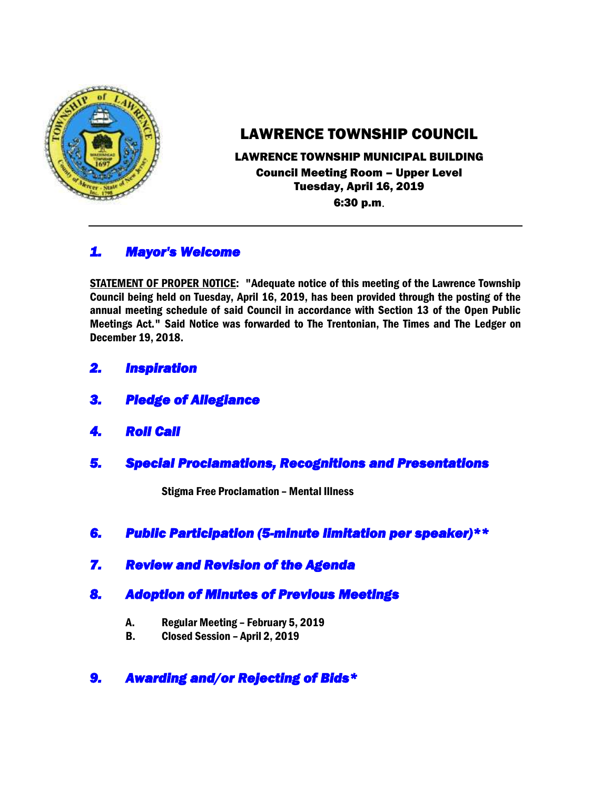

# LAWRENCE TOWNSHIP COUNCIL

# LAWRENCE TOWNSHIP MUNICIPAL BUILDING Council Meeting Room – Upper Level Tuesday, April 16, 2019

6:30 p.m.

# *1. Mayor's Welcome*

STATEMENT OF PROPER NOTICE: "Adequate notice of this meeting of the Lawrence Township Council being held on Tuesday, April 16, 2019, has been provided through the posting of the annual meeting schedule of said Council in accordance with Section 13 of the Open Public Meetings Act." Said Notice was forwarded to The Trentonian, The Times and The Ledger on December 19, 2018.

- *2. Inspiration*
- *3. Pledge of Allegiance*
- *4. Roll Call*
- *5. Special Proclamations, Recognitions and Presentations*

Stigma Free Proclamation – Mental Illness

- *6. Public Participation (5-minute limitation per speaker)\*\**
- *7. Review and Revision of the Agenda*

# *8. Adoption of Minutes of Previous Meetings*

- A. Regular Meeting February 5, 2019
- B. Closed Session April 2, 2019

# *9. Awarding and/or Rejecting of Bids\**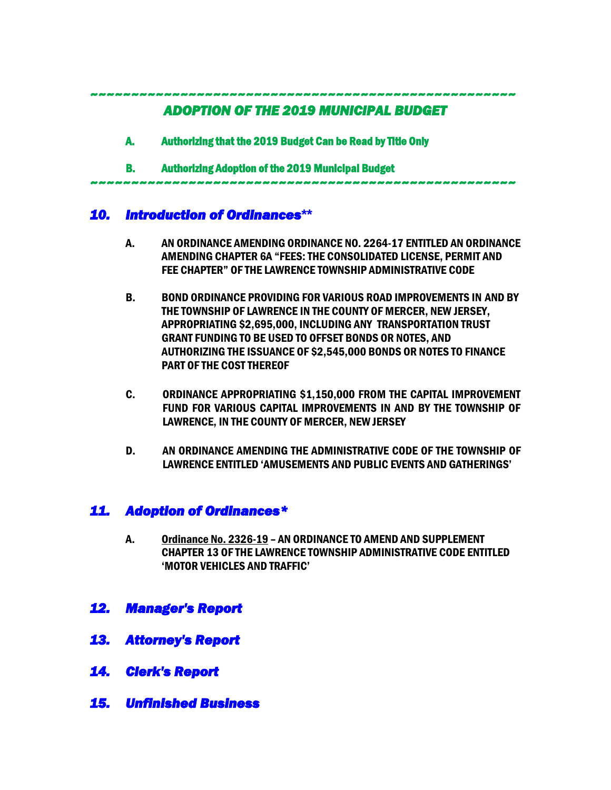*~~~~~~~~~~~~~~~~~~~~~~~~~~~~~~~~~~~~~~~~~~~~~~~~~~~~* 

## *ADOPTION OF THE 2019 MUNICIPAL BUDGET*

- A. Authorizing that the 2019 Budget Can be Read by Title Only
- B. Authorizing Adoption of the 2019 Municipal Budget

#### *~~~~~~~~~~~~~~~~~~~~~~~~~~~~~~~~~~~~~~~~~~~~~~~~~~~~*

# *10. Introduction of Ordinances***\*\***

- A. AN ORDINANCE AMENDING ORDINANCE NO. 2264-17 ENTITLED AN ORDINANCE AMENDING CHAPTER 6A "FEES: THE CONSOLIDATED LICENSE, PERMIT AND FEE CHAPTER" OF THE LAWRENCE TOWNSHIP ADMINISTRATIVE CODE
- B. BOND ORDINANCE PROVIDING FOR VARIOUS ROAD IMPROVEMENTS IN AND BY THE TOWNSHIP OF LAWRENCE IN THE COUNTY OF MERCER, NEW JERSEY, APPROPRIATING \$2,695,000, INCLUDING ANY TRANSPORTATION TRUST GRANT FUNDING TO BE USED TO OFFSET BONDS OR NOTES, AND AUTHORIZING THE ISSUANCE OF \$2,545,000 BONDS OR NOTES TO FINANCE PART OF THE COST THEREOF
- C. ORDINANCE APPROPRIATING \$1,150,000 FROM THE CAPITAL IMPROVEMENT FUND FOR VARIOUS CAPITAL IMPROVEMENTS IN AND BY THE TOWNSHIP OF LAWRENCE, IN THE COUNTY OF MERCER, NEW JERSEY
- D. AN ORDINANCE AMENDING THE ADMINISTRATIVE CODE OF THE TOWNSHIP OF LAWRENCE ENTITLED 'AMUSEMENTS AND PUBLIC EVENTS AND GATHERINGS'

# *11. Adoption of Ordinances\**

- A. Ordinance No. 2326-19 AN ORDINANCE TO AMEND AND SUPPLEMENT CHAPTER 13 OF THE LAWRENCE TOWNSHIP ADMINISTRATIVE CODE ENTITLED 'MOTOR VEHICLES AND TRAFFIC'
- *12. Manager's Report*
- *13. Attorney's Report*
- *14. Clerk's Report*
- *15. Unfinished Business*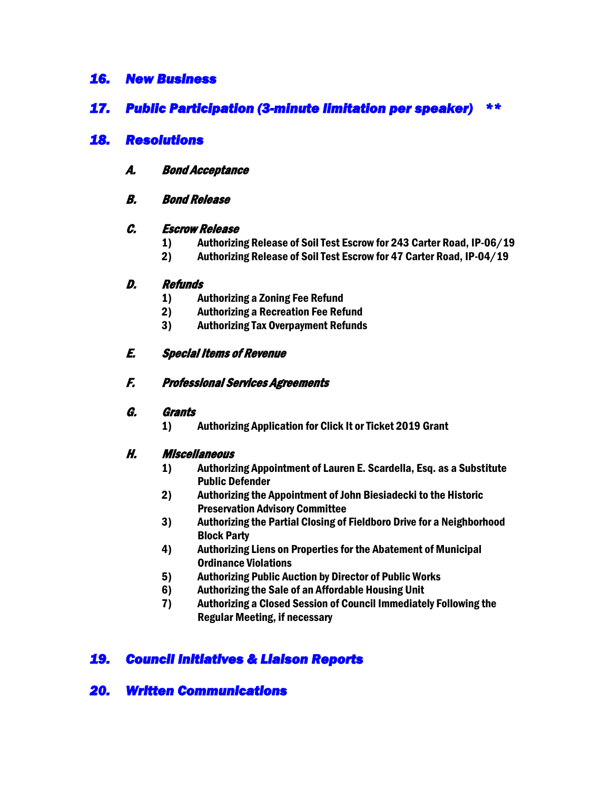### *16. New Business*

### *17. Public Participation (3-minute limitation per speaker) \*\**

### *18. Resolutions*

- A. Bond Acceptance
- B. Bond Release

#### C. Escrow Release

- 1) Authorizing Release of Soil Test Escrow for 243 Carter Road, IP-06/19
- 2) Authorizing Release of Soil Test Escrow for 47 Carter Road, IP-04/19

#### D. Refunds

- 1) Authorizing a Zoning Fee Refund
- 2) Authorizing a Recreation Fee Refund
- 3) Authorizing Tax Overpayment Refunds

### E. Special Items of Revenue

### F. Professional Services Agreements

#### G. Grants

1) Authorizing Application for Click It or Ticket 2019 Grant

### H. Miscellaneous

- 1) Authorizing Appointment of Lauren E. Scardella, Esq. as a Substitute Public Defender
- 2) Authorizing the Appointment of John Biesiadecki to the Historic Preservation Advisory Committee
- 3) Authorizing the Partial Closing of Fieldboro Drive for a Neighborhood Block Party
- 4) Authorizing Liens on Properties for the Abatement of Municipal Ordinance Violations
- 5) Authorizing Public Auction by Director of Public Works
- 6) Authorizing the Sale of an Affordable Housing Unit
- 7) Authorizing a Closed Session of Council Immediately Following the Regular Meeting, if necessary

# *19. Council Initiatives & Liaison Reports*

# *20. Written Communications*